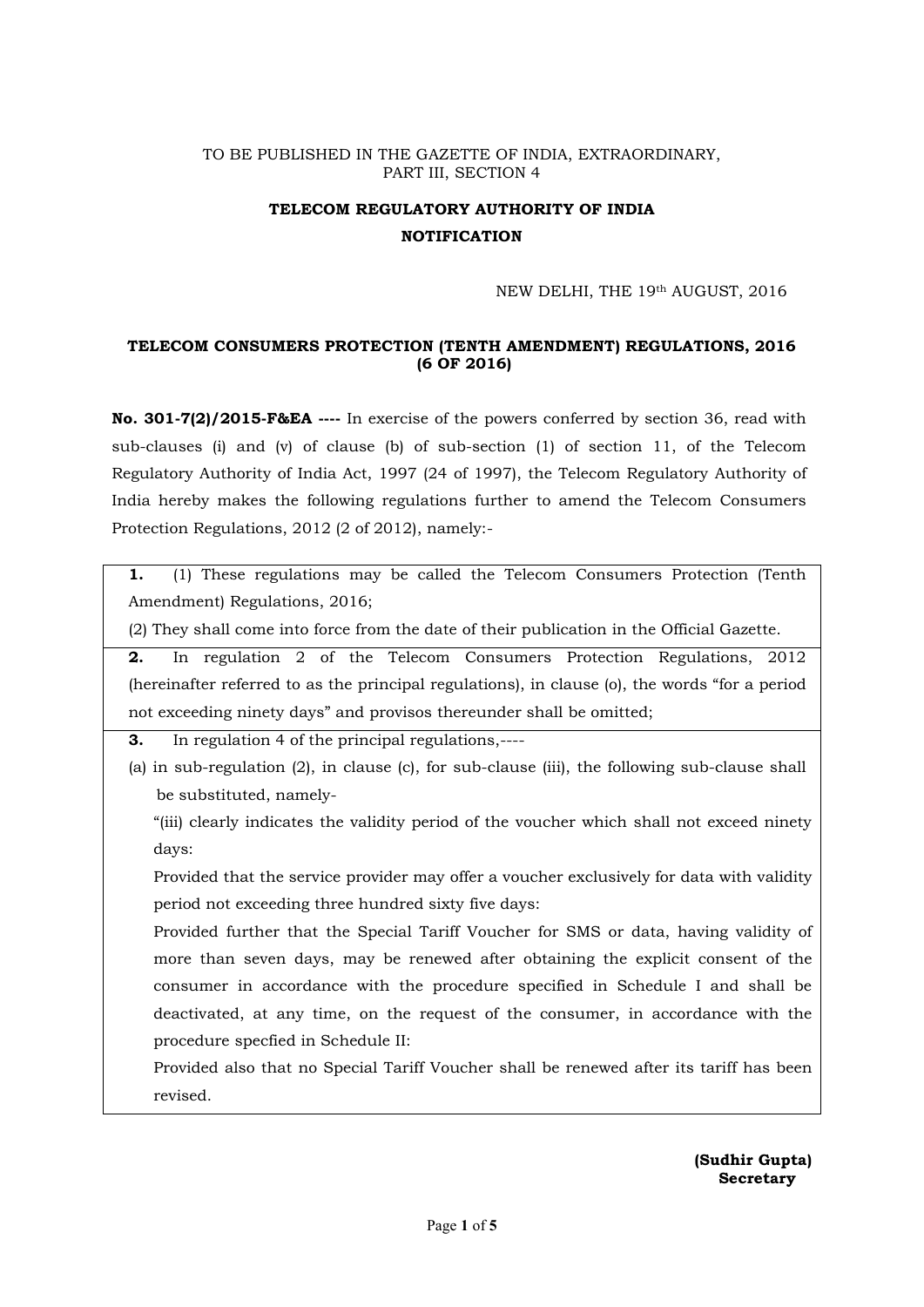## TO BE PUBLISHED IN THE GAZETTE OF INDIA, EXTRAORDINARY, PART III, SECTION 4

# TELECOM REGULATORY AUTHORITY OF INDIA **NOTIFICATION**

### NEW DELHI, THE 19th AUGUST, 2016

## TELECOM CONSUMERS PROTECTION (TENTH AMENDMENT) REGULATIONS, 2016 (6 OF 2016)

No. 301-7(2)/2015-F&EA ---- In exercise of the powers conferred by section 36, read with sub-clauses (i) and (v) of clause (b) of sub-section (1) of section 11, of the Telecom Regulatory Authority of India Act, 1997 (24 of 1997), the Telecom Regulatory Authority of India hereby makes the following regulations further to amend the Telecom Consumers Protection Regulations, 2012 (2 of 2012), namely:-

1. (1) These regulations may be called the Telecom Consumers Protection (Tenth Amendment) Regulations, 2016;

(2) They shall come into force from the date of their publication in the Official Gazette.

2. In regulation 2 of the Telecom Consumers Protection Regulations, 2012 (hereinafter referred to as the principal regulations), in clause (o), the words "for a period not exceeding ninety days" and provisos thereunder shall be omitted;

3. In regulation 4 of the principal regulations,----

(a) in sub-regulation (2), in clause (c), for sub-clause (iii), the following sub-clause shall be substituted, namely-

"(iii) clearly indicates the validity period of the voucher which shall not exceed ninety days:

Provided that the service provider may offer a voucher exclusively for data with validity period not exceeding three hundred sixty five days:

Provided further that the Special Tariff Voucher for SMS or data, having validity of more than seven days, may be renewed after obtaining the explicit consent of the consumer in accordance with the procedure specified in Schedule I and shall be deactivated, at any time, on the request of the consumer, in accordance with the procedure specfied in Schedule II:

Provided also that no Special Tariff Voucher shall be renewed after its tariff has been revised.

> (Sudhir Gupta) **Secretary**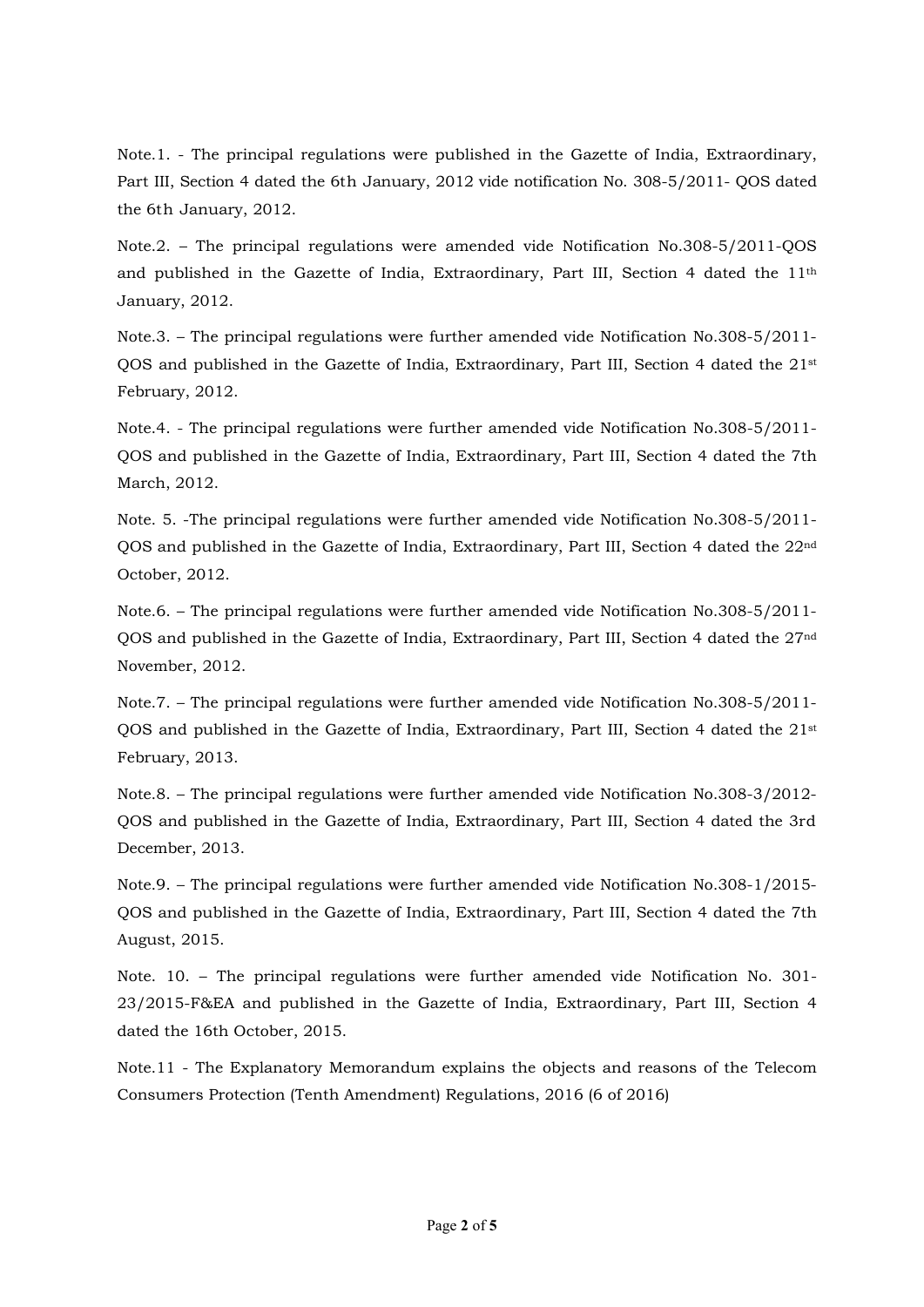Note.1. - The principal regulations were published in the Gazette of India, Extraordinary, Part III, Section 4 dated the 6th January, 2012 vide notification No. 308-5/2011- QOS dated the 6th January, 2012.

Note.2. – The principal regulations were amended vide Notification No.308-5/2011-QOS and published in the Gazette of India, Extraordinary, Part III, Section 4 dated the  $11<sup>th</sup>$ January, 2012.

Note.3. – The principal regulations were further amended vide Notification No.308-5/2011- QOS and published in the Gazette of India, Extraordinary, Part III, Section 4 dated the 21st February, 2012.

Note.4. - The principal regulations were further amended vide Notification No.308-5/2011- QOS and published in the Gazette of India, Extraordinary, Part III, Section 4 dated the 7th March, 2012.

Note. 5. -The principal regulations were further amended vide Notification No.308-5/2011- QOS and published in the Gazette of India, Extraordinary, Part III, Section 4 dated the 22nd October, 2012.

Note.6. – The principal regulations were further amended vide Notification No.308-5/2011- QOS and published in the Gazette of India, Extraordinary, Part III, Section 4 dated the 27nd November, 2012.

Note.7. – The principal regulations were further amended vide Notification No.308-5/2011- QOS and published in the Gazette of India, Extraordinary, Part III, Section 4 dated the 21st February, 2013.

Note.8. – The principal regulations were further amended vide Notification No.308-3/2012- QOS and published in the Gazette of India, Extraordinary, Part III, Section 4 dated the 3rd December, 2013.

Note.9. – The principal regulations were further amended vide Notification No.308-1/2015- QOS and published in the Gazette of India, Extraordinary, Part III, Section 4 dated the 7th August, 2015.

Note. 10. – The principal regulations were further amended vide Notification No. 301- 23/2015-F&EA and published in the Gazette of India, Extraordinary, Part III, Section 4 dated the 16th October, 2015.

Note.11 - The Explanatory Memorandum explains the objects and reasons of the Telecom Consumers Protection (Tenth Amendment) Regulations, 2016 (6 of 2016)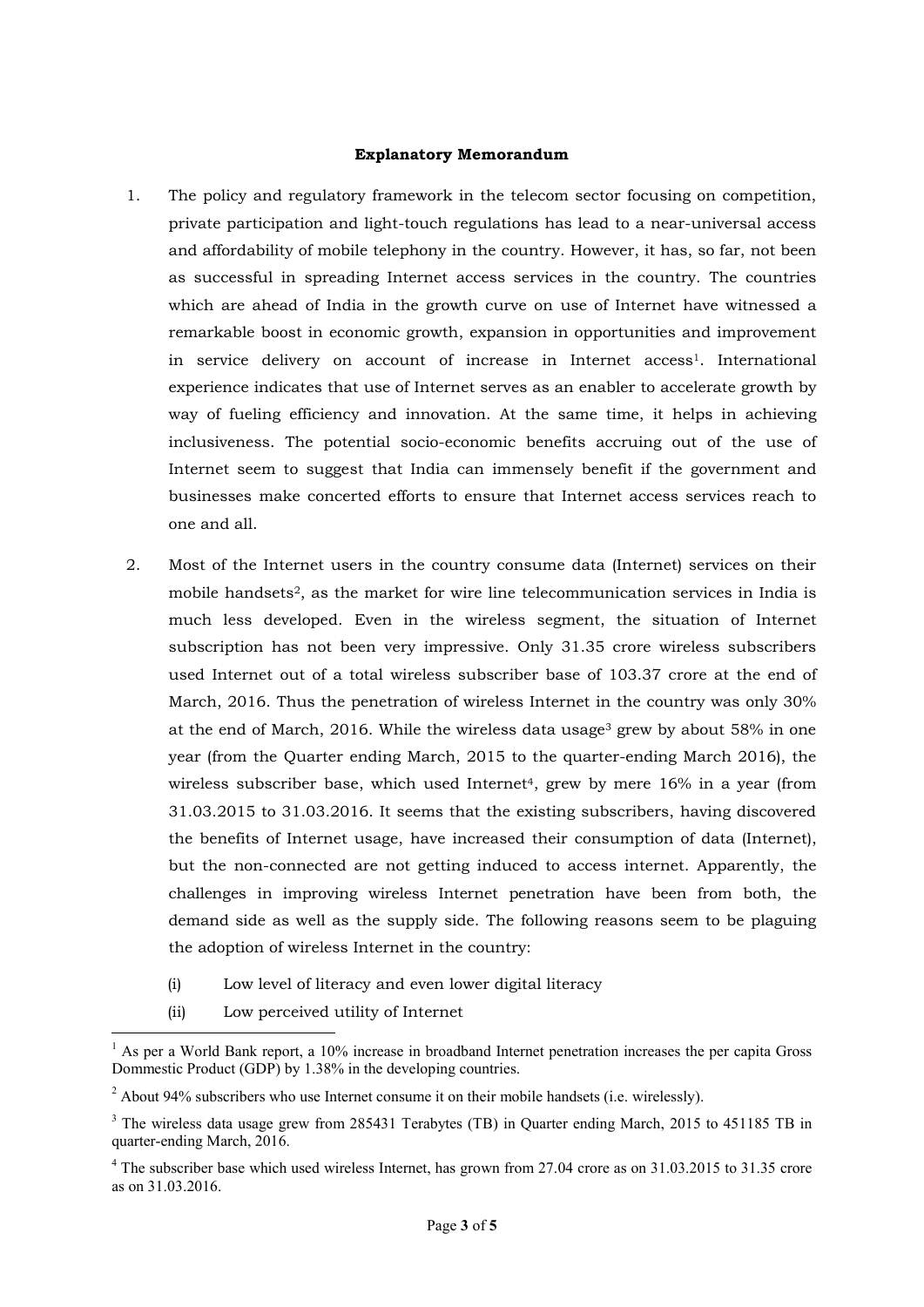#### Explanatory Memorandum

- 1. The policy and regulatory framework in the telecom sector focusing on competition, private participation and light-touch regulations has lead to a near-universal access and affordability of mobile telephony in the country. However, it has, so far, not been as successful in spreading Internet access services in the country. The countries which are ahead of India in the growth curve on use of Internet have witnessed a remarkable boost in economic growth, expansion in opportunities and improvement in service delivery on account of increase in Internet access<sup>1</sup>. International experience indicates that use of Internet serves as an enabler to accelerate growth by way of fueling efficiency and innovation. At the same time, it helps in achieving inclusiveness. The potential socio-economic benefits accruing out of the use of Internet seem to suggest that India can immensely benefit if the government and businesses make concerted efforts to ensure that Internet access services reach to one and all.
- 2. Most of the Internet users in the country consume data (Internet) services on their mobile handsets2, as the market for wire line telecommunication services in India is much less developed. Even in the wireless segment, the situation of Internet subscription has not been very impressive. Only 31.35 crore wireless subscribers used Internet out of a total wireless subscriber base of 103.37 crore at the end of March, 2016. Thus the penetration of wireless Internet in the country was only 30% at the end of March, 2016. While the wireless data usage<sup>3</sup> grew by about  $58\%$  in one year (from the Quarter ending March, 2015 to the quarter-ending March 2016), the wireless subscriber base, which used Internet<sup>4</sup>, grew by mere 16% in a year (from 31.03.2015 to 31.03.2016. It seems that the existing subscribers, having discovered the benefits of Internet usage, have increased their consumption of data (Internet), but the non-connected are not getting induced to access internet. Apparently, the challenges in improving wireless Internet penetration have been from both, the demand side as well as the supply side. The following reasons seem to be plaguing the adoption of wireless Internet in the country:
	- (i) Low level of literacy and even lower digital literacy
	- (ii) Low perceived utility of Internet

<sup>&</sup>lt;sup>1</sup> As per a World Bank report, a 10% increase in broadband Internet penetration increases the per capita Gross Dommestic Product (GDP) by 1.38% in the developing countries.

 $2$  About 94% subscribers who use Internet consume it on their mobile handsets (i.e. wirelessly).

<sup>&</sup>lt;sup>3</sup> The wireless data usage grew from 285431 Terabytes (TB) in Quarter ending March, 2015 to 451185 TB in quarter-ending March, 2016.

<sup>&</sup>lt;sup>4</sup> The subscriber base which used wireless Internet, has grown from 27.04 crore as on 31.03.2015 to 31.35 crore as on 31.03.2016.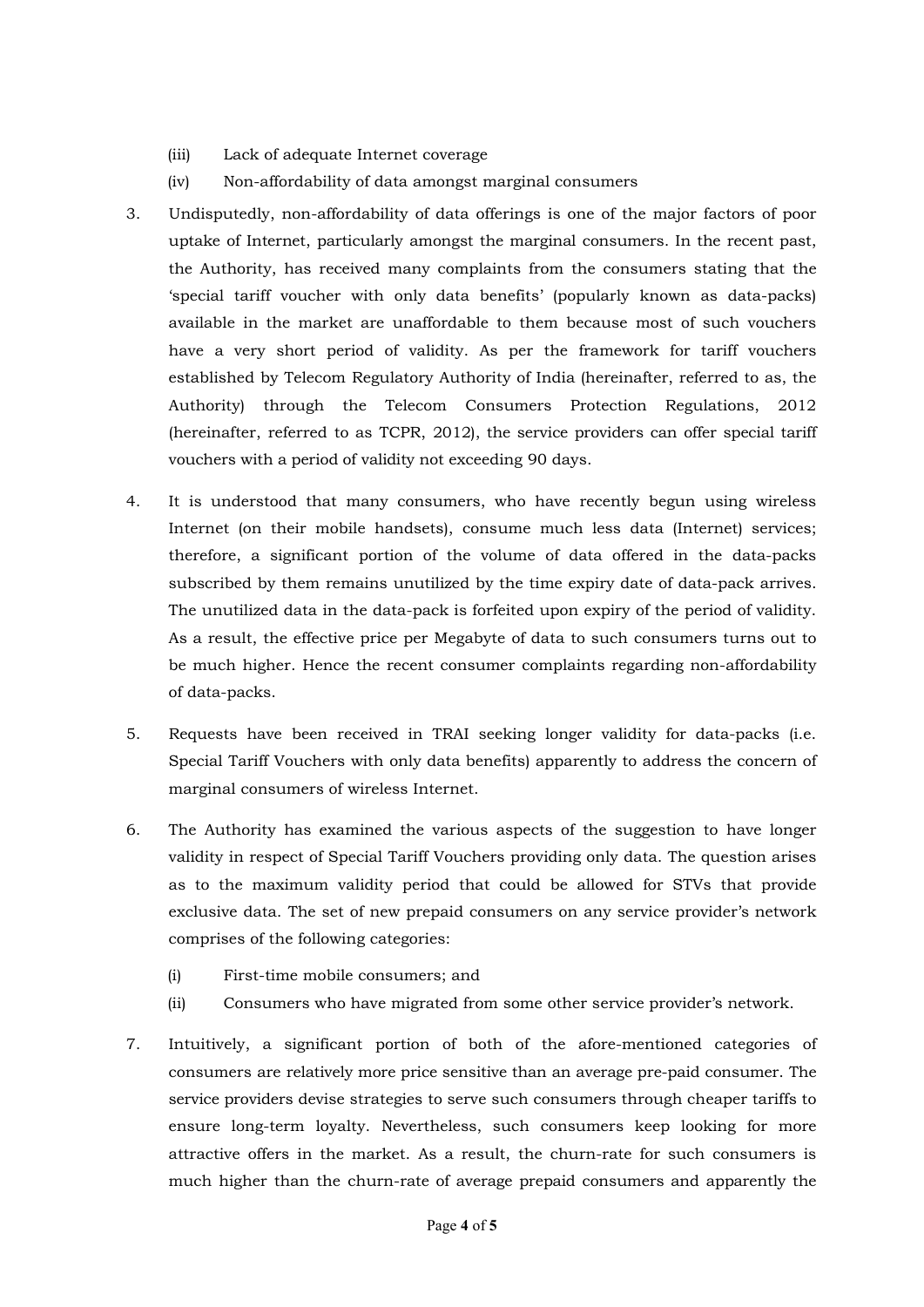- (iii) Lack of adequate Internet coverage
- (iv) Non-affordability of data amongst marginal consumers
- 3. Undisputedly, non-affordability of data offerings is one of the major factors of poor uptake of Internet, particularly amongst the marginal consumers. In the recent past, the Authority, has received many complaints from the consumers stating that the 'special tariff voucher with only data benefits' (popularly known as data-packs) available in the market are unaffordable to them because most of such vouchers have a very short period of validity. As per the framework for tariff vouchers established by Telecom Regulatory Authority of India (hereinafter, referred to as, the Authority) through the Telecom Consumers Protection Regulations, 2012 (hereinafter, referred to as TCPR, 2012), the service providers can offer special tariff vouchers with a period of validity not exceeding 90 days.
- 4. It is understood that many consumers, who have recently begun using wireless Internet (on their mobile handsets), consume much less data (Internet) services; therefore, a significant portion of the volume of data offered in the data-packs subscribed by them remains unutilized by the time expiry date of data-pack arrives. The unutilized data in the data-pack is forfeited upon expiry of the period of validity. As a result, the effective price per Megabyte of data to such consumers turns out to be much higher. Hence the recent consumer complaints regarding non-affordability of data-packs.
- 5. Requests have been received in TRAI seeking longer validity for data-packs (i.e. Special Tariff Vouchers with only data benefits) apparently to address the concern of marginal consumers of wireless Internet.
- 6. The Authority has examined the various aspects of the suggestion to have longer validity in respect of Special Tariff Vouchers providing only data. The question arises as to the maximum validity period that could be allowed for STVs that provide exclusive data. The set of new prepaid consumers on any service provider's network comprises of the following categories:
	- (i) First-time mobile consumers; and
	- (ii) Consumers who have migrated from some other service provider's network.
- 7. Intuitively, a significant portion of both of the afore-mentioned categories of consumers are relatively more price sensitive than an average pre-paid consumer. The service providers devise strategies to serve such consumers through cheaper tariffs to ensure long-term loyalty. Nevertheless, such consumers keep looking for more attractive offers in the market. As a result, the churn-rate for such consumers is much higher than the churn-rate of average prepaid consumers and apparently the